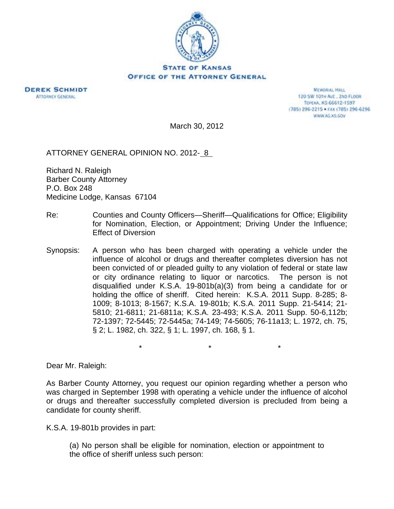



**MEMORIAL HALL** 120 SW 101H AVE., 2ND FLOOR TOPEXA, KS 66612-1597 (785) 296-2215 · FAX (785) 296-6296 WWW.AG.XS.COV

March 30, 2012

ATTORNEY GENERAL OPINION NO. 2012- 8

Richard N. Raleigh Barber County Attorney P.O. Box 248 Medicine Lodge, Kansas 67104

- Re: Counties and County Officers—Sheriff—Qualifications for Office; Eligibility for Nomination, Election, or Appointment; Driving Under the Influence; Effect of Diversion
- Synopsis: A person who has been charged with operating a vehicle under the influence of alcohol or drugs and thereafter completes diversion has not been convicted of or pleaded guilty to any violation of federal or state law or city ordinance relating to liquor or narcotics. The person is not disqualified under K.S.A. 19-801b(a)(3) from being a candidate for or holding the office of sheriff. Cited herein: K.S.A. 2011 Supp. 8-285; 8- 1009; 8-1013; 8-1567; K.S.A. 19-801b; K.S.A. 2011 Supp. 21-5414; 21- 5810; 21-6811; 21-6811a; K.S.A. 23-493; K.S.A. 2011 Supp. 50-6,112b; 72-1397; 72-5445; 72-5445a; 74-149; 74-5605; 76-11a13; L. 1972, ch. 75, § 2; L. 1982, ch. 322, § 1; L. 1997, ch. 168, § 1.

 $\star$  \*  $\star$  \*  $\star$ 

Dear Mr. Raleigh:

As Barber County Attorney, you request our opinion regarding whether a person who was charged in September 1998 with operating a vehicle under the influence of alcohol or drugs and thereafter successfully completed diversion is precluded from being a candidate for county sheriff.

K.S.A. 19-801b provides in part:

(a) No person shall be eligible for nomination, election or appointment to the office of sheriff unless such person: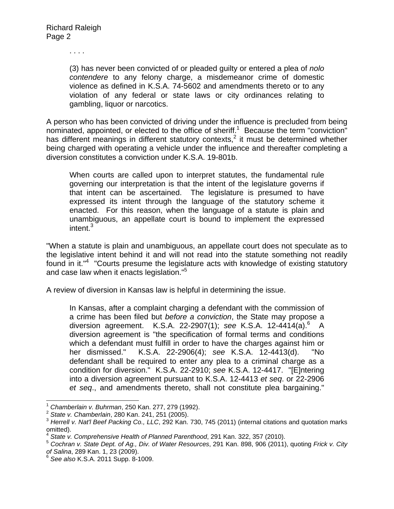. . . .

(3) has never been convicted of or pleaded guilty or entered a plea of *nolo contendere* to any felony charge, a misdemeanor crime of domestic violence as defined in K.S.A. 74-5602 and amendments thereto or to any violation of any federal or state laws or city ordinances relating to gambling, liquor or narcotics.

A person who has been convicted of driving under the influence is precluded from being nominated, appointed, or elected to the office of sheriff.<sup>1</sup> Because the term "conviction" has different meanings in different statutory contexts, $2$  it must be determined whether being charged with operating a vehicle under the influence and thereafter completing a diversion constitutes a conviction under K.S.A. 19-801b.

When courts are called upon to interpret statutes, the fundamental rule governing our interpretation is that the intent of the legislature governs if that intent can be ascertained. The legislature is presumed to have expressed its intent through the language of the statutory scheme it enacted. For this reason, when the language of a statute is plain and unambiguous, an appellate court is bound to implement the expressed  $intent.<sup>3</sup>$ 

"When a statute is plain and unambiguous, an appellate court does not speculate as to the legislative intent behind it and will not read into the statute something not readily found in it."<sup>4</sup> "Courts presume the legislature acts with knowledge of existing statutory and case law when it enacts legislation."<sup>5</sup>

A review of diversion in Kansas law is helpful in determining the issue.

In Kansas, after a complaint charging a defendant with the commission of a crime has been filed but *before a conviction*, the State may propose a diversion agreement. K.S.A. 22-2907(1); see K.S.A. 12-4414(a).<sup>6</sup> A diversion agreement is "the specification of formal terms and conditions which a defendant must fulfill in order to have the charges against him or her dismissed." K.S.A. 22-2906(4); *see* K.S.A. 12-4413(d). "No defendant shall be required to enter any plea to a criminal charge as a condition for diversion." K.S.A. 22-2910; *see* K.S.A. 12-4417. "[E]ntering into a diversion agreement pursuant to K.S.A. 12-4413 *et seq*. or 22-2906 *et seq*., and amendments thereto, shall not constitute plea bargaining."

 $\overline{a}$ 

<sup>&</sup>lt;sup>1</sup> Chamberlain v. Buhrman, 250 Kan. 277, 279 (1992).<br><sup>2</sup> State v. Chamberlain, 280 Kan. 241, 251 (2005).<br><sup>3</sup> Herrell v. Nat'l Beef Packing Co., LLC, 292 Kan. 730, 745 (2011) (internal citations and quotation marks omitted).

<sup>4</sup> *State v. Comprehensive Health of Planned Parenthood*, 291 Kan. 322, 357 (2010).

<sup>5</sup> *Cochran v. State Dept. of Ag., Div. of Water Resources*, 291 Kan. 898, 906 (2011), quoting *Frick v. City of Salina*, 289 Kan. 1, 23 (2009). 6 *See also* K.S.A. 2011 Supp. 8-1009.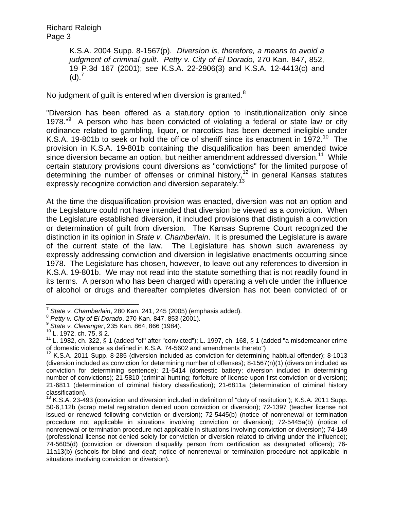K.S.A. 2004 Supp. 8-1567(p). *Diversion is, therefore, a means to avoid a judgment of criminal guilt*. *Petty v. City of El Dorado*, 270 Kan. 847, 852, 19 P.3d 167 (2001); *see* K.S.A. 22-2906(3) and K.S.A. 12-4413(c) and  $(d).<sup>7</sup>$ 

No judgment of guilt is entered when diversion is granted.<sup>8</sup>

"Diversion has been offered as a statutory option to institutionalization only since 1978."<sup>9</sup> A person who has been convicted of violating a federal or state law or city ordinance related to gambling, liquor, or narcotics has been deemed ineligible under K.S.A. 19-801b to seek or hold the office of sheriff since its enactment in 1972.<sup>10</sup> The provision in K.S.A. 19-801b containing the disqualification has been amended twice since diversion became an option, but neither amendment addressed diversion.<sup>11</sup> While certain statutory provisions count diversions as "convictions" for the limited purpose of determining the number of offenses or criminal history,<sup>12</sup> in general Kansas statutes expressly recognize conviction and diversion separately.

At the time the disqualification provision was enacted, diversion was not an option and the Legislature could not have intended that diversion be viewed as a conviction. When the Legislature established diversion, it included provisions that distinguish a conviction or determination of guilt from diversion. The Kansas Supreme Court recognized the distinction in its opinion in *State v. Chamberlain*. It is presumed the Legislature is aware of the current state of the law. The Legislature has shown such awareness by expressly addressing conviction and diversion in legislative enactments occurring since 1978. The Legislature has chosen, however, to leave out any references to diversion in K.S.A. 19-801b. We may not read into the statute something that is not readily found in its terms. A person who has been charged with operating a vehicle under the influence of alcohol or drugs and thereafter completes diversion has not been convicted of or

 $\overline{a}$ <sup>7</sup> State v. Chamberlain, 280 Kan. 241, 245 (2005) (emphasis added).<br><sup>8</sup> *Petty v. City of El Dorado*, 270 Kan. 847, 853 (2001).<br><sup>9</sup> *State v. Clevenger*, 235 Kan. 864, 866 (1984).<br><sup>10</sup> L. 1972, ch. 75, § 2.

 $11$  L. 1982, ch. 322, § 1 (added "of" after "convicted"); L. 1997, ch. 168, § 1 (added "a misdemeanor crime of domestic violence as defined in K.S.A. 74-5602 and amendments thereto")

 $12$  K.S.A. 2011 Supp. 8-285 (diversion included as conviction for determining habitual offender); 8-1013 (diversion included as conviction for determining number of offenses); 8-1567(n)(1) (diversion included as conviction for determining sentence); 21-5414 (domestic battery; diversion included in determining number of convictions); 21-5810 (criminal hunting; forfeiture of license upon first conviction or diversion); 21-6811 (determination of criminal history classification); 21-6811a (determination of criminal history classification).

 $13$  K.S.A. 23-493 (conviction and diversion included in definition of "duty of restitution"); K.S.A. 2011 Supp. 50-6,112b (scrap metal registration denied upon conviction or diversion); 72-1397 (teacher license not issued or renewed following conviction or diversion); 72-5445(b) (notice of nonrenewal or termination procedure not applicable in situations involving conviction or diversion); 72-5445a(b) (notice of nonrenewal or termination procedure not applicable in situations involving conviction or diversion); 74-149 (professional license not denied solely for conviction or diversion related to driving under the influence); 74-5605(d) (conviction or diversion disqualify person from certification as designated officers); 76- 11a13(b) (schools for blind and deaf; notice of nonrenewal or termination procedure not applicable in situations involving conviction or diversion).